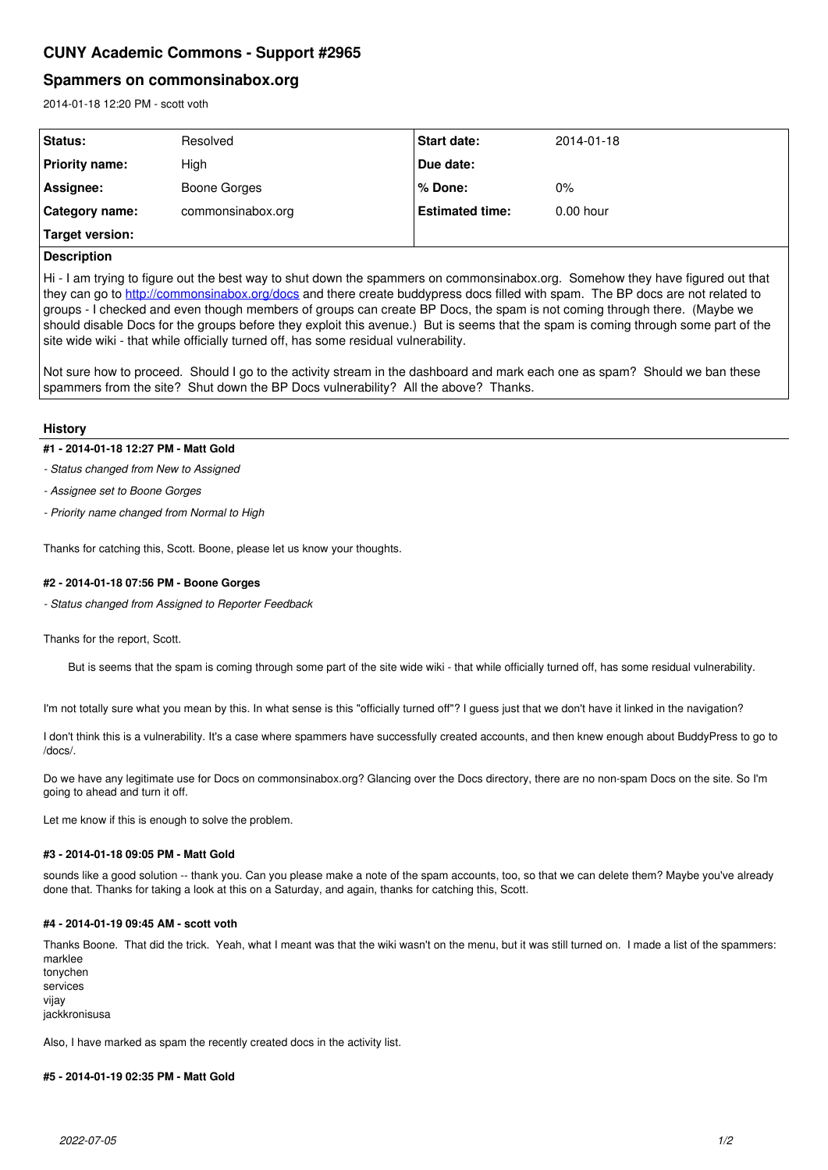# **CUNY Academic Commons - Support #2965**

## **Spammers on commonsinabox.org**

2014-01-18 12:20 PM - scott voth

| Status:         | Resolved          | <b>Start date:</b>     | 2014-01-18  |
|-----------------|-------------------|------------------------|-------------|
| Priority name:  | High              | Due date:              |             |
| Assignee:       | Boone Gorges      | % Done:                | $0\%$       |
| ⊦Category name: | commonsinabox.org | <b>Estimated time:</b> | $0.00$ hour |
| Target version: |                   |                        |             |

### **Description**

Hi - I am trying to figure out the best way to shut down the spammers on commonsinabox.org. Somehow they have figured out that they can go to<http://commonsinabox.org/docs> and there create buddypress docs filled with spam. The BP docs are not related to groups - I checked and even though members of groups can create BP Docs, the spam is not coming through there. (Maybe we should disable Docs for the groups before they exploit this avenue.) But is seems that the spam is coming through some part of the site wide wiki - that while officially turned off, has some residual vulnerability.

Not sure how to proceed. Should I go to the activity stream in the dashboard and mark each one as spam? Should we ban these spammers from the site? Shut down the BP Docs vulnerability? All the above? Thanks.

#### **History**

#### **#1 - 2014-01-18 12:27 PM - Matt Gold**

*- Status changed from New to Assigned*

*- Assignee set to Boone Gorges*

*- Priority name changed from Normal to High*

Thanks for catching this, Scott. Boone, please let us know your thoughts.

#### **#2 - 2014-01-18 07:56 PM - Boone Gorges**

*- Status changed from Assigned to Reporter Feedback*

Thanks for the report, Scott.

But is seems that the spam is coming through some part of the site wide wiki - that while officially turned off, has some residual vulnerability.

I'm not totally sure what you mean by this. In what sense is this "officially turned off"? I guess just that we don't have it linked in the navigation?

I don't think this is a vulnerability. It's a case where spammers have successfully created accounts, and then knew enough about BuddyPress to go to /docs/.

Do we have any legitimate use for Docs on commonsinabox.org? Glancing over the Docs directory, there are no non-spam Docs on the site. So I'm going to ahead and turn it off.

Let me know if this is enough to solve the problem.

#### **#3 - 2014-01-18 09:05 PM - Matt Gold**

sounds like a good solution -- thank you. Can you please make a note of the spam accounts, too, so that we can delete them? Maybe you've already done that. Thanks for taking a look at this on a Saturday, and again, thanks for catching this, Scott.

#### **#4 - 2014-01-19 09:45 AM - scott voth**

Thanks Boone. That did the trick. Yeah, what I meant was that the wiki wasn't on the menu, but it was still turned on. I made a list of the spammers: marklee

tonychen services vijay

iackkronisusa

Also, I have marked as spam the recently created docs in the activity list.

#### **#5 - 2014-01-19 02:35 PM - Matt Gold**